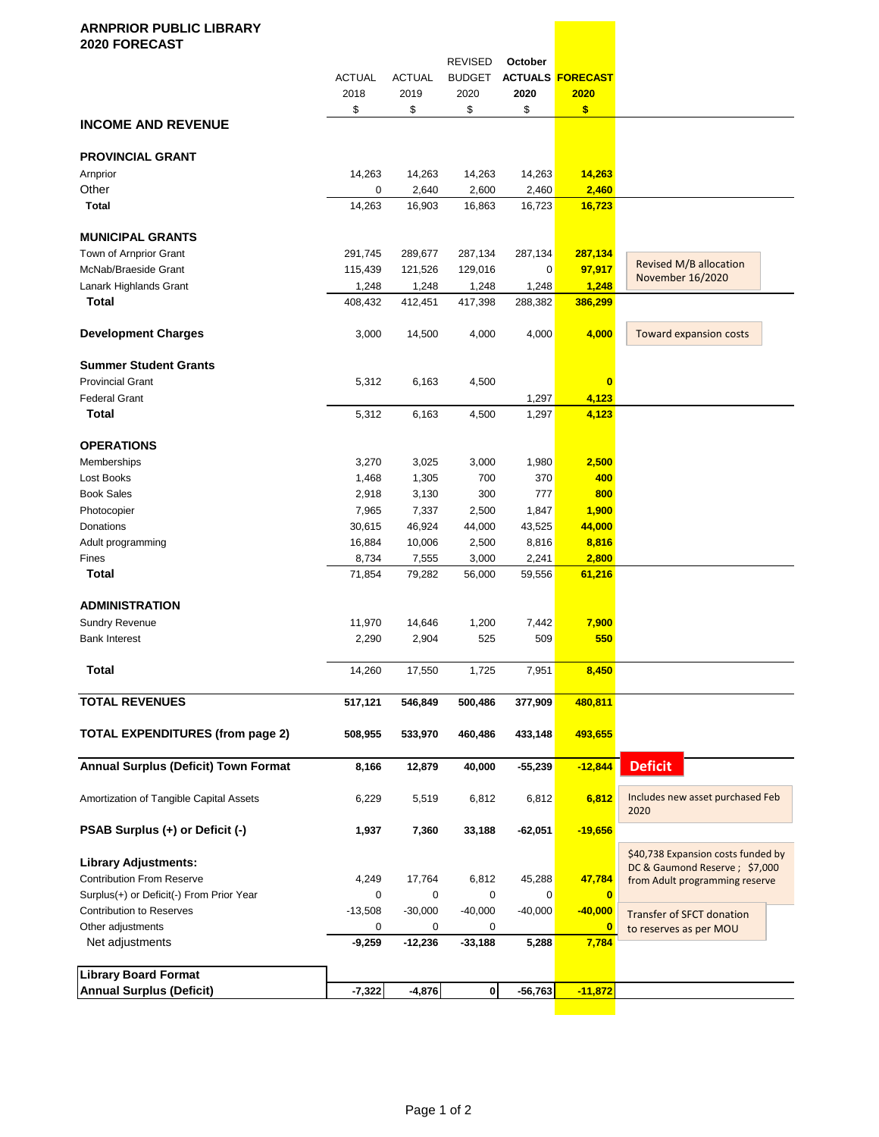## **ARNPRIOR PUBLIC LIBRARY 2020 FORECAST** REVISED **October** ACTUAL ACTUAL BUDGET **ACTUALS FORECAST** 2018 2019 2020 **2020 2020** \$ \$ \$ \$ **\$ INCOME AND REVENUE PROVINCIAL GRANT** Arnprior 14,263 14,263 14,263 14,263 **14,263** Other 0 2,640 2,600 2,460 **2,460 Total** 14,263 16,903 16,863 16,723 **16,723 MUNICIPAL GRANTS** Town of Arnprior Grant 291,745 289,677 287,134 287,134 **287,134** McNab/Braeside Grant 115,439 121,526 129,016 0 **97,917** Lanark Highlands Grant 1,248 1,248 1,248 1,248 **1,248 Total** 408,432 412,451 417,398 288,382 **386,299 Development Charges** 3,000 14,500 4,000 4,000 4,000 **Summer Student Grants** Provincial Grant 5,312 6,163 4,500 **0** Federal Grant 1,297 **4,123 Total** 5,312 6,163 4,500 1,297 **4,123 OPERATIONS** Memberships 3,270 3,025 3,000 1,980 **2,500** Lost Books 1,468 1,305 700 370 **400** Book Sales 2,918 3,130 300 777 **800** Photocopier 7,965 7,337 2,500 1,847 **1,900** Donations 30,615 46,924 44,000 43,525 **44,000** Adult programming 16,884 10,006 2,500 8,816 8,816 Fines 8,734 7,555 3,000 2,241 **2,800 Total** 71,854 79,282 56,000 59,556 **61,216 ADMINISTRATION** Sundry Revenue 11,970 14,646 1,200 7,442 **7,900** Bank Interest 2,290 2,904 525 509 **550 Total** 14,260 17,550 1,725 7,951 **8,450 TOTAL REVENUES 517,121 546,849 500,486 377,909 480,811 TOTAL EXPENDITURES (from page 2) 508,955 533,970 460,486 433,148 493,655 Annual Surplus (Deficit) Town Format 8,166 12,879 40,000 -55,239 -12,844** Amortization of Tangible Capital Assets 6,229 5,519 6,812 6,812 **6,812 PSAB Surplus (+) or Deficit (-) 1,937 7,360 33,188 -62,051 -19,656 Library Adjustments:** Contribution From Reserve 4,249 17,764 6,812 45,288 **47,784** Surplus(+) or Deficit(-) From Prior Year 0 0 0 0 **0** Contribution to Reserves -13,508 -30,000 -40,000 -40,000 **-40,000** Other adjustments 0 0 0 **0** Net adjustments **-9,259 -12,236 -33,188 5,288 7,784 Library Board Format Annual Surplus (Deficit) -7,322 -4,876 0 -56,763 -11,872** \$40,738 Expansion costs funded by DC & Gaumond Reserve ; \$7,000 from Adult programming reserve Revised M/B allocation November 16/2020 Transfer of SFCT donation to reserves as per MOU Includes new asset purchased Feb 2020 **Deficit** Toward expansion costs